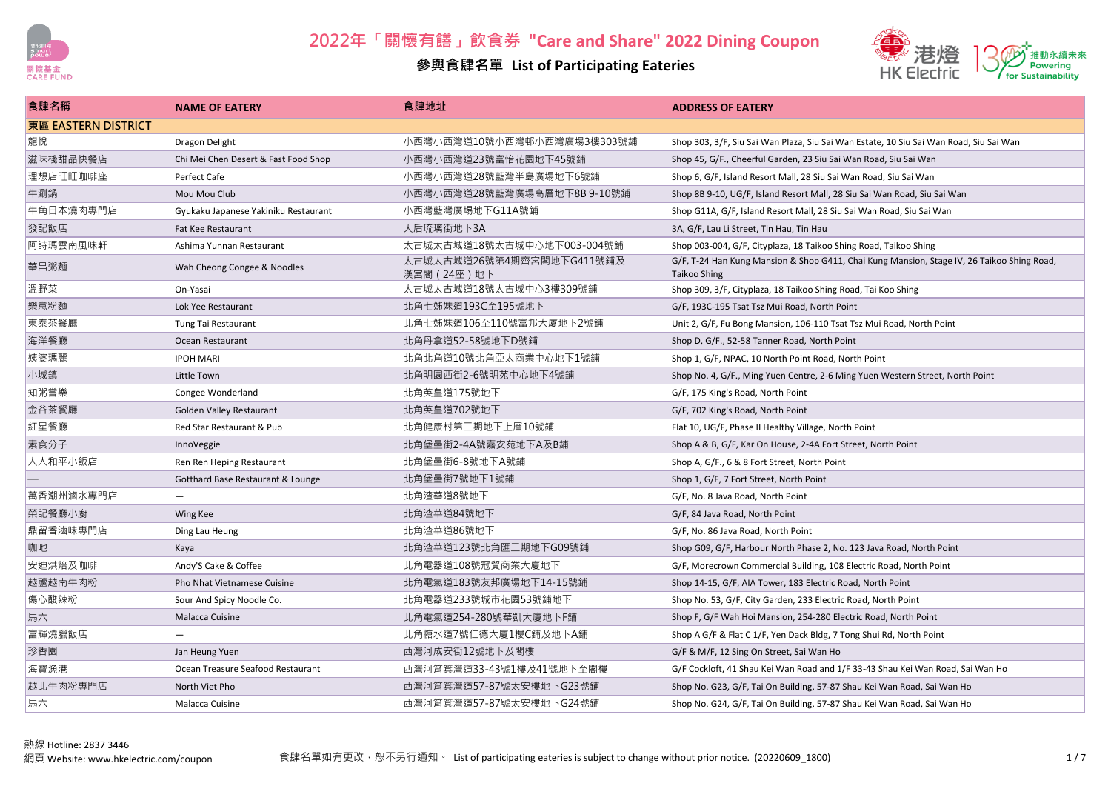



| 食肆名稱                | <b>NAME OF EATERY</b>                | 食肆地址                                     | <b>ADDRESS OF EATERY</b>                                                                                          |
|---------------------|--------------------------------------|------------------------------------------|-------------------------------------------------------------------------------------------------------------------|
| 東區 EASTERN DISTRICT |                                      |                                          |                                                                                                                   |
| 龍悅                  | Dragon Delight                       | 小西灣小西灣道10號小西灣邨小西灣廣場3樓303號鋪               | Shop 303, 3/F, Siu Sai Wan Plaza, Siu Sai Wan Estate, 10 Siu Sai Wan Road, Siu Sai Wan                            |
| 滋味棧甜品快餐店            | Chi Mei Chen Desert & Fast Food Shop | 小西灣小西灣道23號富怡花園地下45號鋪                     | Shop 45, G/F., Cheerful Garden, 23 Siu Sai Wan Road, Siu Sai Wan                                                  |
| 理想店旺旺咖啡座            | Perfect Cafe                         | 小西灣小西灣道28號藍灣半島廣場地下6號鋪                    | Shop 6, G/F, Island Resort Mall, 28 Siu Sai Wan Road, Siu Sai Wan                                                 |
| 牛涮鍋                 | Mou Mou Club                         | 小西灣小西灣道28號藍灣廣場高層地下8B 9-10號鋪              | Shop 8B 9-10, UG/F, Island Resort Mall, 28 Siu Sai Wan Road, Siu Sai Wan                                          |
| 牛角日本燒肉專門店           | Gyukaku Japanese Yakiniku Restaurant | 小西灣藍灣廣埸地下G11A號鋪                          | Shop G11A, G/F, Island Resort Mall, 28 Siu Sai Wan Road, Siu Sai Wan                                              |
| 發記飯店                | Fat Kee Restaurant                   | 天后琉璃街地下3A                                | 3A, G/F, Lau Li Street, Tin Hau, Tin Hau                                                                          |
| 阿詩瑪雲南風味軒            | Ashima Yunnan Restaurant             | 太古城太古城道18號太古城中心地下003-004號鋪               | Shop 003-004, G/F, Cityplaza, 18 Taikoo Shing Road, Taikoo Shing                                                  |
| 華昌粥麵                | Wah Cheong Congee & Noodles          | 太古城太古城道26號第4期齊宮閣地下G411號鋪及<br>漢宮閣 (24座)地下 | G/F, T-24 Han Kung Mansion & Shop G411, Chai Kung Mansion, Stage IV, 26 Taikoo Shing Road,<br><b>Taikoo Shing</b> |
| 溫野菜                 | On-Yasai                             | 太古城太古城道18號太古城中心3樓309號鋪                   | Shop 309, 3/F, Cityplaza, 18 Taikoo Shing Road, Tai Koo Shing                                                     |
| 樂意粉麵                | Lok Yee Restaurant                   | 北角七姊妹道193C至195號地下                        | G/F, 193C-195 Tsat Tsz Mui Road, North Point                                                                      |
| 東泰茶餐廳               | Tung Tai Restaurant                  | 北角七姊妹道106至110號富邦大廈地下2號鋪                  | Unit 2, G/F, Fu Bong Mansion, 106-110 Tsat Tsz Mui Road, North Point                                              |
| 海洋餐廳                | Ocean Restaurant                     | 北角丹拿道52-58號地下D號鋪                         | Shop D, G/F., 52-58 Tanner Road, North Point                                                                      |
| 姨婆瑪麗                | <b>IPOH MARI</b>                     | 北角北角道10號北角亞太商業中心地下1號鋪                    | Shop 1, G/F, NPAC, 10 North Point Road, North Point                                                               |
| 小城鎮                 | Little Town                          | 北角明園西街2-6號明苑中心地下4號鋪                      | Shop No. 4, G/F., Ming Yuen Centre, 2-6 Ming Yuen Western Street, North Point                                     |
| 知粥嘗樂                | Congee Wonderland                    | 北角英皇道175號地下                              | G/F, 175 King's Road, North Point                                                                                 |
| 金谷茶餐廳               | Golden Valley Restaurant             | 北角英皇道702號地下                              | G/F, 702 King's Road, North Point                                                                                 |
| 紅星餐廳                | Red Star Restaurant & Pub            | 北角健康村第二期地下上層10號鋪                         | Flat 10, UG/F, Phase II Healthy Village, North Point                                                              |
| 素食分子                | InnoVeggie                           | 北角堡壘街2-4A號嘉安苑地下A及B鋪                      | Shop A & B, G/F, Kar On House, 2-4A Fort Street, North Point                                                      |
| 人人和平小飯店             | Ren Ren Heping Restaurant            | 北角堡壘街6-8號地下A號鋪                           | Shop A, G/F., 6 & 8 Fort Street, North Point                                                                      |
|                     | Gotthard Base Restaurant & Lounge    | 北角堡壘街7號地下1號鋪                             | Shop 1, G/F, 7 Fort Street, North Point                                                                           |
| 萬香潮州滷水專門店           |                                      | 北角渣華道8號地下                                | G/F, No. 8 Java Road, North Point                                                                                 |
| 榮記餐廳小廚              | Wing Kee                             | 北角渣華道84號地下                               | G/F, 84 Java Road, North Point                                                                                    |
| 鼎留香滷味專門店            | Ding Lau Heung                       | 北角渣華道86號地下                               | G/F, No. 86 Java Road, North Point                                                                                |
| 咖吔                  | Kaya                                 | 北角渣華道123號北角匯三期地下G09號鋪                    | Shop G09, G/F, Harbour North Phase 2, No. 123 Java Road, North Point                                              |
| 安迪烘焙及咖啡             | Andy'S Cake & Coffee                 | 北角電器道108號冠貿商業大廈地下                        | G/F, Morecrown Commercial Building, 108 Electric Road, North Point                                                |
| 越蘆越南牛肉粉             | Pho Nhat Vietnamese Cuisine          | 北角電氣道183號友邦廣場地下14-15號鋪                   | Shop 14-15, G/F, AIA Tower, 183 Electric Road, North Point                                                        |
| 傷心酸辣粉               | Sour And Spicy Noodle Co.            | 北角電器道233號城市花園53號鋪地下                      | Shop No. 53, G/F, City Garden, 233 Electric Road, North Point                                                     |
| 馬六                  | <b>Malacca Cuisine</b>               | 北角電氣道254-280號華凱大廈地下F鋪                    | Shop F, G/F Wah Hoi Mansion, 254-280 Electric Road, North Point                                                   |
| 富輝燒臘飯店              |                                      | 北角糖水道7號仁德大廈1樓C鋪及地下A鋪                     | Shop A G/F & Flat C 1/F, Yen Dack Bldg, 7 Tong Shui Rd, North Point                                               |
| 珍香園                 | Jan Heung Yuen                       | 西灣河成安街12號地下及閣樓                           | G/F & M/F, 12 Sing On Street, Sai Wan Ho                                                                          |
| 海寶漁港                | Ocean Treasure Seafood Restaurant    | 西灣河筲箕灣道33-43號1樓及41號地下至閣樓                 | G/F Cockloft, 41 Shau Kei Wan Road and 1/F 33-43 Shau Kei Wan Road, Sai Wan Ho                                    |
| 越北牛肉粉專門店            | North Viet Pho                       | 西灣河筲箕灣道57-87號太安樓地下G23號鋪                  | Shop No. G23, G/F, Tai On Building, 57-87 Shau Kei Wan Road, Sai Wan Ho                                           |
| 馬六                  | Malacca Cuisine                      | 西灣河筲箕灣道57-87號太安樓地下G24號鋪                  | Shop No. G24, G/F, Tai On Building, 57-87 Shau Kei Wan Road, Sai Wan Ho                                           |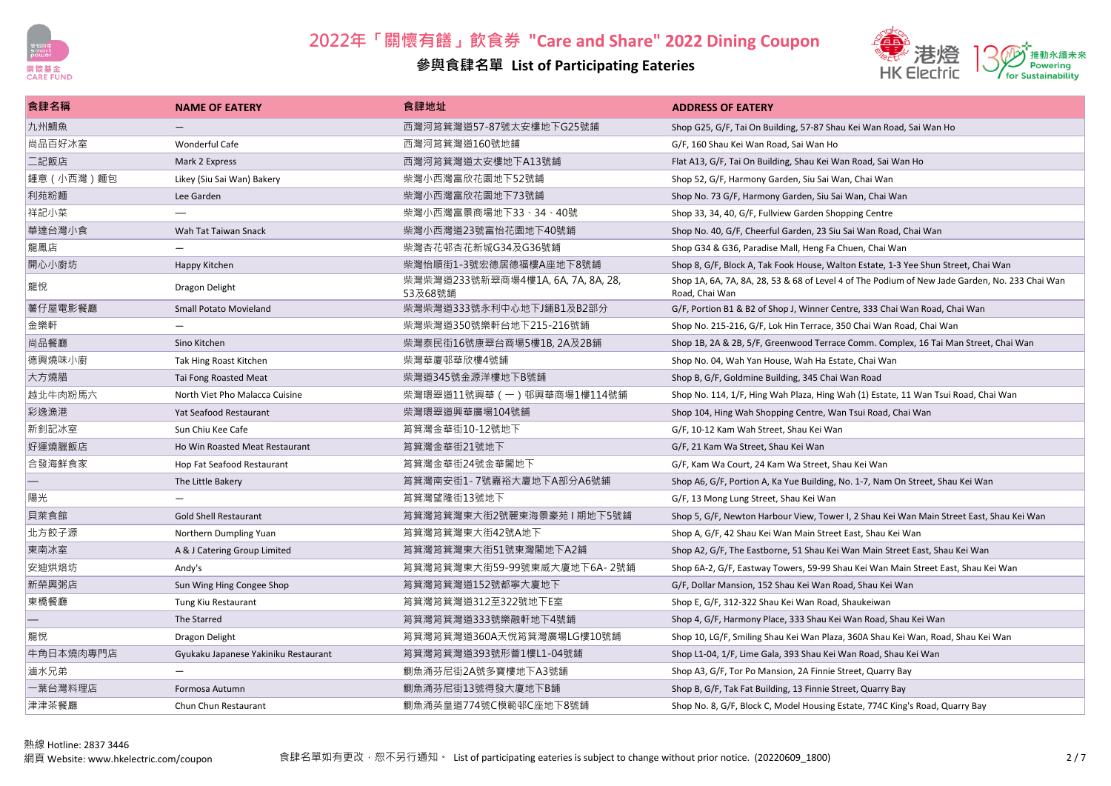



| 食肆名稱        | <b>NAME OF EATERY</b>                | 食肆地址                                          | <b>ADDRESS OF EATERY</b>                                                                                         |
|-------------|--------------------------------------|-----------------------------------------------|------------------------------------------------------------------------------------------------------------------|
| 九州鯛魚        |                                      | 西灣河筲箕灣道57-87號太安樓地下G25號鋪                       | Shop G25, G/F, Tai On Building, 57-87 Shau Kei Wan Road, Sai Wan Ho                                              |
| 尚品百好冰室      | <b>Wonderful Cafe</b>                | 西灣河筲箕灣道160號地鋪                                 | G/F, 160 Shau Kei Wan Road, Sai Wan Ho                                                                           |
| 二記飯店        | Mark 2 Express                       | 西灣河筲箕灣道太安樓地下A13號鋪                             | Flat A13, G/F, Tai On Building, Shau Kei Wan Road, Sai Wan Ho                                                    |
| 鍾意 (小西灣) 麵包 | Likey (Siu Sai Wan) Bakery           | 柴灣小西灣富欣花園地下52號鋪                               | Shop 52, G/F, Harmony Garden, Siu Sai Wan, Chai Wan                                                              |
| 利苑粉麵        | Lee Garden                           | 柴灣小西灣富欣花園地下73號鋪                               | Shop No. 73 G/F, Harmony Garden, Siu Sai Wan, Chai Wan                                                           |
| 祥記小菜        |                                      | 柴灣小西灣富景商場地下33、34、40號                          | Shop 33, 34, 40, G/F, Fullview Garden Shopping Centre                                                            |
| 華達台灣小食      | Wah Tat Taiwan Snack                 | 柴灣小西灣道23號富怡花園地下40號鋪                           | Shop No. 40, G/F, Cheerful Garden, 23 Siu Sai Wan Road, Chai Wan                                                 |
| 龍鳳店         |                                      | 柴灣杏花邨杏花新城G34及G36號鋪                            | Shop G34 & G36, Paradise Mall, Heng Fa Chuen, Chai Wan                                                           |
| 開心小廚坊       | Happy Kitchen                        | 柴灣怡順街1-3號宏德居德福樓A座地下8號鋪                        | Shop 8, G/F, Block A, Tak Fook House, Walton Estate, 1-3 Yee Shun Street, Chai Wan                               |
| 龍悅          | Dragon Delight                       | 柴灣柴灣道233號新翠商場4樓1A, 6A, 7A, 8A, 28,<br>53及68號鋪 | Shop 1A, 6A, 7A, 8A, 28, 53 & 68 of Level 4 of The Podium of New Jade Garden, No. 233 Chai Wan<br>Road, Chai Wan |
| 薯仔屋電影餐廳     | <b>Small Potato Movieland</b>        | 柴灣柴灣道333號永利中心地下J鋪B1及B2部分                      | G/F, Portion B1 & B2 of Shop J, Winner Centre, 333 Chai Wan Road, Chai Wan                                       |
| 金樂軒         |                                      | 柴灣柴灣道350號樂軒台地下215-216號鋪                       | Shop No. 215-216, G/F, Lok Hin Terrace, 350 Chai Wan Road, Chai Wan                                              |
| 尚品餐廳        | Sino Kitchen                         | 柴灣泰民街16號康翠台商場5樓1B, 2A及2B鋪                     | Shop 1B, 2A & 2B, 5/F, Greenwood Terrace Comm. Complex, 16 Tai Man Street, Chai Wan                              |
| 德興燒味小廚      | Tak Hing Roast Kitchen               | 柴灣華廈邨華欣樓4號鋪                                   | Shop No. 04. Wah Yan House. Wah Ha Estate. Chai Wan                                                              |
| 大方燒腊        | Tai Fong Roasted Meat                | 柴灣道345號金源洋樓地下B號鋪                              | Shop B, G/F, Goldmine Building, 345 Chai Wan Road                                                                |
| 越北牛肉粉馬六     | North Viet Pho Malacca Cuisine       | 柴灣環翠道11號興華(一)邨興華商場1樓114號鋪                     | Shop No. 114, 1/F, Hing Wah Plaza, Hing Wah (1) Estate, 11 Wan Tsui Road, Chai Wan                               |
| 彩逸漁港        | Yat Seafood Restaurant               | 柴灣環翠道興華廣場104號鋪                                | Shop 104, Hing Wah Shopping Centre, Wan Tsui Road, Chai Wan                                                      |
| 新釗記冰室       | Sun Chiu Kee Cafe                    | 筲箕灣金華街10-12號地下                                | G/F, 10-12 Kam Wah Street, Shau Kei Wan                                                                          |
| 好運燒臘飯店      | Ho Win Roasted Meat Restaurant       | 筲箕灣金華街21號地下                                   | G/F, 21 Kam Wa Street, Shau Kei Wan                                                                              |
| 合發海鮮食家      | Hop Fat Seafood Restaurant           | 筲箕灣金華街24號金華閣地下                                | G/F, Kam Wa Court, 24 Kam Wa Street, Shau Kei Wan                                                                |
|             | The Little Bakery                    | 筲箕灣南安街1-7號嘉裕大廈地下A部分A6號鋪                       | Shop A6, G/F, Portion A, Ka Yue Building, No. 1-7, Nam On Street, Shau Kei Wan                                   |
| 陽光          | $\overline{\phantom{m}}$             | 筲箕灣望隆街13號地下                                   | G/F, 13 Mong Lung Street, Shau Kei Wan                                                                           |
| 貝萊食館        | <b>Gold Shell Restaurant</b>         | 筲箕灣筲箕灣東大街2號麗東海景豪苑Ⅰ期地下5號鋪                      | Shop 5, G/F, Newton Harbour View, Tower I, 2 Shau Kei Wan Main Street East, Shau Kei Wan                         |
| 北方餃子源       | Northern Dumpling Yuan               | 筲箕灣筲箕灣東大街42號A地下                               | Shop A, G/F, 42 Shau Kei Wan Main Street East, Shau Kei Wan                                                      |
| 東南冰室        | A & J Catering Group Limited         | 筲箕灣筲箕灣東大街51號東灣閣地下A2鋪                          | Shop A2, G/F, The Eastborne, 51 Shau Kei Wan Main Street East, Shau Kei Wan                                      |
| 安迪烘焙坊       | Andy's                               | 筲箕灣筲箕灣東大街59-99號東威大廈地下6A- 2號鋪                  | Shop 6A-2, G/F, Eastway Towers, 59-99 Shau Kei Wan Main Street East, Shau Kei Wan                                |
| 新榮興粥店       | Sun Wing Hing Congee Shop            | 筲箕灣筲箕灣道152號都寧大廈地下                             | G/F, Dollar Mansion, 152 Shau Kei Wan Road, Shau Kei Wan                                                         |
| 東橋餐廳        | Tung Kiu Restaurant                  | 筲箕灣筲箕灣道312至322號地下E室                           | Shop E, G/F, 312-322 Shau Kei Wan Road, Shaukeiwan                                                               |
|             | The Starred                          | 筲箕灣筲箕灣道333號樂融軒地下4號鋪                           | Shop 4, G/F, Harmony Place, 333 Shau Kei Wan Road, Shau Kei Wan                                                  |
| 龍悅          | Dragon Delight                       | 筲箕灣筲箕灣道360A天悅筲箕灣廣場LG樓10號鋪                     | Shop 10, LG/F, Smiling Shau Kei Wan Plaza, 360A Shau Kei Wan, Road, Shau Kei Wan                                 |
| 牛角日本燒肉專門店   | Gyukaku Japanese Yakiniku Restaurant | 筲箕灣筲箕灣道393號形薈1樓L1-04號鋪                        | Shop L1-04, 1/F, Lime Gala, 393 Shau Kei Wan Road, Shau Kei Wan                                                  |
| 滷水兄弟        |                                      | 鰂魚涌芬尼街2A號多寶樓地下A3號鋪                            | Shop A3, G/F, Tor Po Mansion, 2A Finnie Street, Quarry Bay                                                       |
| 一葉台灣料理店     | Formosa Autumn                       | 鰂魚涌芬尼街13號得發大廈地下B鋪                             | Shop B, G/F, Tak Fat Building, 13 Finnie Street, Quarry Bay                                                      |
| 津津茶餐廳       | Chun Chun Restaurant                 | 鰂魚涌英皇道774號C模範邨C座地下8號鋪                         | Shop No. 8, G/F, Block C, Model Housing Estate, 774C King's Road, Quarry Bay                                     |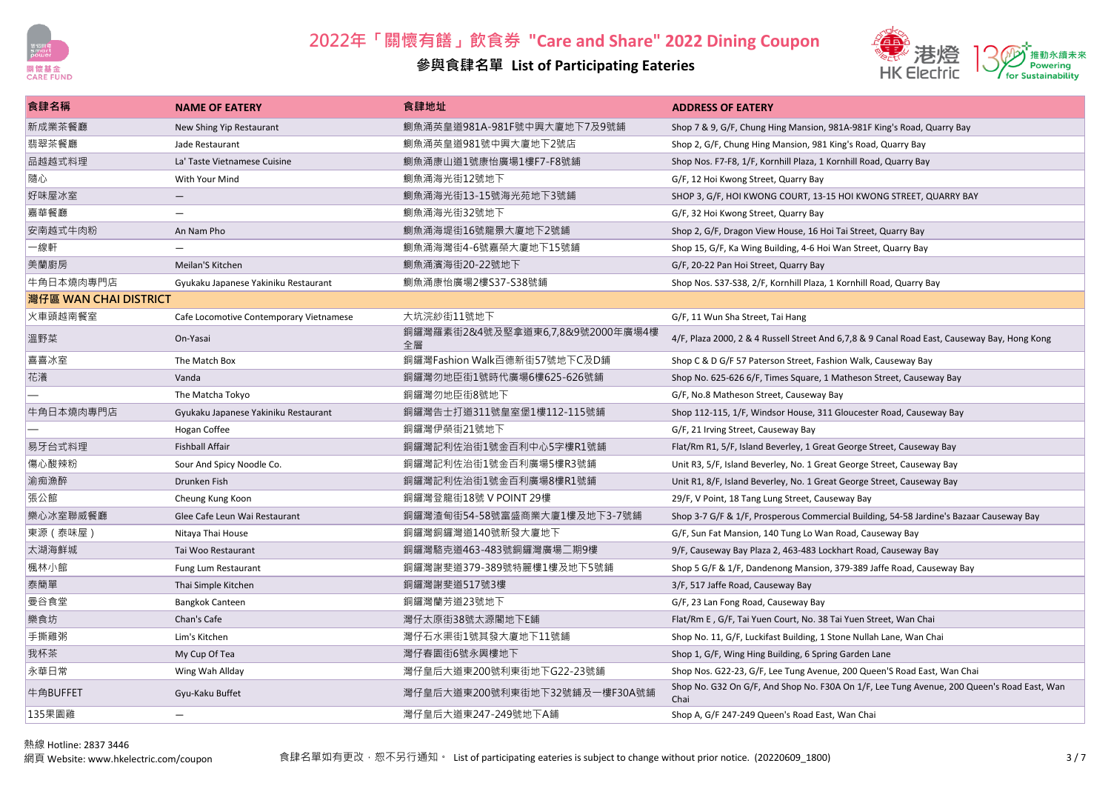

### **參與食肆名單 List of Participating Eateries**



| 食肆名稱                   | <b>NAME OF EATERY</b>                   | 食肆地址                                   | <b>ADDRESS OF EATERY</b>                                                                           |
|------------------------|-----------------------------------------|----------------------------------------|----------------------------------------------------------------------------------------------------|
| 新成業茶餐廳                 | New Shing Yip Restaurant                | 鰂魚涌英皇道981A-981F號中興大廈地下7及9號鋪            | Shop 7 & 9, G/F, Chung Hing Mansion, 981A-981F King's Road, Quarry Bay                             |
| 翡翠茶餐廳                  | Jade Restaurant                         | 鰂魚涌英皇道981號中興大廈地下2號店                    | Shop 2, G/F, Chung Hing Mansion, 981 King's Road, Quarry Bay                                       |
| 品越越式料理                 | La' Taste Vietnamese Cuisine            | 鰂魚涌康山道1號康怡廣場1樓F7-F8號鋪                  | Shop Nos. F7-F8, 1/F, Kornhill Plaza, 1 Kornhill Road, Quarry Bay                                  |
| 隨心                     | With Your Mind                          | 鰂魚涌海光街12號地下                            | G/F, 12 Hoi Kwong Street, Quarry Bay                                                               |
| 好味屋冰室                  | $\qquad \qquad -$                       | 鰂魚涌海光街13-15號海光苑地下3號鋪                   | SHOP 3, G/F, HOI KWONG COURT, 13-15 HOI KWONG STREET, QUARRY BAY                                   |
| 嘉華餐廳                   | $\overline{\phantom{0}}$                | 鰂魚涌海光街32號地下                            | G/F, 32 Hoi Kwong Street, Quarry Bay                                                               |
| 安南越式牛肉粉                | An Nam Pho                              | 鰂魚涌海堤街16號龍景大廈地下2號鋪                     | Shop 2, G/F, Dragon View House, 16 Hoi Tai Street, Quarry Bay                                      |
| 一線軒                    |                                         | 鰂魚涌海灣街4-6號嘉榮大廈地下15號鋪                   | Shop 15, G/F, Ka Wing Building, 4-6 Hoi Wan Street, Quarry Bay                                     |
| 美蘭廚房                   | Meilan'S Kitchen                        | 鰂魚涌濱海街20-22號地下                         | G/F, 20-22 Pan Hoi Street, Quarry Bay                                                              |
| 牛角日本燒肉專門店              | Gyukaku Japanese Yakiniku Restaurant    | 鰂魚涌康怡廣場2樓S37-S38號鋪                     | Shop Nos. S37-S38, 2/F, Kornhill Plaza, 1 Kornhill Road, Quarry Bay                                |
| │灣仔區 WAN CHAI DISTRICT |                                         |                                        |                                                                                                    |
| 火車頭越南餐室                | Cafe Locomotive Contemporary Vietnamese | 大坑浣紗街11號地下                             | G/F, 11 Wun Sha Street, Tai Hang                                                                   |
| 溫野菜                    | On-Yasai                                | 銅鑼灣羅素街2&4號及堅拿道東6,7,8&9號2000年廣場4樓<br>全層 | 4/F, Plaza 2000, 2 & 4 Russell Street And 6,7,8 & 9 Canal Road East, Causeway Bay, Hong Kong       |
| 喜喜冰室                   | The Match Box                           | 銅鑼灣Fashion Walk百德新街57號地下C及D鋪           | Shop C & D G/F 57 Paterson Street, Fashion Walk, Causeway Bay                                      |
| 花瀁                     | Vanda                                   | 銅鑼灣勿地臣街1號時代廣場6樓625-626號鋪               | Shop No. 625-626 6/F, Times Square, 1 Matheson Street, Causeway Bay                                |
|                        | The Matcha Tokyo                        | 銅鑼灣勿地臣街8號地下                            | G/F, No.8 Matheson Street, Causeway Bay                                                            |
| 牛角日本燒肉專門店              | Gyukaku Japanese Yakiniku Restaurant    | 銅鑼灣告士打道311號皇室堡1樓112-115號鋪              | Shop 112-115, 1/F, Windsor House, 311 Gloucester Road, Causeway Bay                                |
|                        | Hogan Coffee                            | 銅鑼灣伊榮街21號地下                            | G/F, 21 Irving Street, Causeway Bay                                                                |
| 易牙台式料理                 | <b>Fishball Affair</b>                  | 銅鑼灣記利佐治街1號金百利中心5字樓R1號鋪                 | Flat/Rm R1, 5/F, Island Beverley, 1 Great George Street, Causeway Bay                              |
| 傷心酸辣粉                  | Sour And Spicy Noodle Co.               | 銅鑼灣記利佐治街1號金百利廣場5樓R3號鋪                  | Unit R3, 5/F, Island Beverley, No. 1 Great George Street, Causeway Bay                             |
| 渝痴漁醉                   | Drunken Fish                            | 銅鑼灣記利佐治街1號金百利廣場8樓R1號鋪                  | Unit R1, 8/F, Island Beverley, No. 1 Great George Street, Causeway Bay                             |
| 張公館                    | Cheung Kung Koon                        | 銅鑼灣登龍街18號 V POINT 29樓                  | 29/F, V Point, 18 Tang Lung Street, Causeway Bay                                                   |
| 樂心冰室聯威餐廳               | Glee Cafe Leun Wai Restaurant           | 銅鑼灣渣甸街54-58號富盛商業大廈1樓及地下3-7號鋪           | Shop 3-7 G/F & 1/F, Prosperous Commercial Building, 54-58 Jardine's Bazaar Causeway Bay            |
| 東源 (泰味屋)               | Nitaya Thai House                       | 銅鑼灣銅鑼灣道140號新發大廈地下                      | G/F, Sun Fat Mansion, 140 Tung Lo Wan Road, Causeway Bay                                           |
| 太湖海鮮城                  | Tai Woo Restaurant                      | 銅鑼灣駱克道463-483號銅鑼灣廣場二期9樓                | 9/F, Causeway Bay Plaza 2, 463-483 Lockhart Road, Causeway Bay                                     |
| 楓林小館                   | Fung Lum Restaurant                     | 銅鑼灣謝斐道379-389號特麗樓1樓及地下5號鋪              | Shop 5 G/F & 1/F, Dandenong Mansion, 379-389 Jaffe Road, Causeway Bay                              |
| 泰簡單                    | Thai Simple Kitchen                     | 銅鑼灣謝斐道517號3樓                           | 3/F, 517 Jaffe Road, Causeway Bay                                                                  |
| 曼谷食堂                   | <b>Bangkok Canteen</b>                  | 銅鑼灣蘭芳道23號地下                            | G/F, 23 Lan Fong Road, Causeway Bay                                                                |
| 樂食坊                    | Chan's Cafe                             | 灣仔太原街38號太源閣地下E鋪                        | Flat/Rm E, G/F, Tai Yuen Court, No. 38 Tai Yuen Street, Wan Chai                                   |
| 手撕雞粥                   | Lim's Kitchen                           | 灣仔石水渠街1號其發大廈地下11號鋪                     | Shop No. 11, G/F, Luckifast Building, 1 Stone Nullah Lane, Wan Chai                                |
| 我杯茶                    | My Cup Of Tea                           | 灣仔春園街6號永興樓地下                           | Shop 1, G/F, Wing Hing Building, 6 Spring Garden Lane                                              |
| 永華日常                   | Wing Wah Allday                         | 灣仔皇后大道東200號利東街地下G22-23號鋪               | Shop Nos. G22-23, G/F, Lee Tung Avenue, 200 Queen'S Road East, Wan Chai                            |
| 牛角BUFFET               | Gyu-Kaku Buffet                         | 灣仔皇后大道東200號利東街地下32號鋪及一樓F30A號鋪          | Shop No. G32 On G/F, And Shop No. F30A On 1/F, Lee Tung Avenue, 200 Queen's Road East, Wan<br>Chai |
| 135果園雞                 |                                         | 灣仔皇后大道東247-249號地下A鋪                    | Shop A, G/F 247-249 Queen's Road East, Wan Chai                                                    |

熱線 Hotline: 2837 3446<br>網頁 Website: www.hkelectric.com/coupon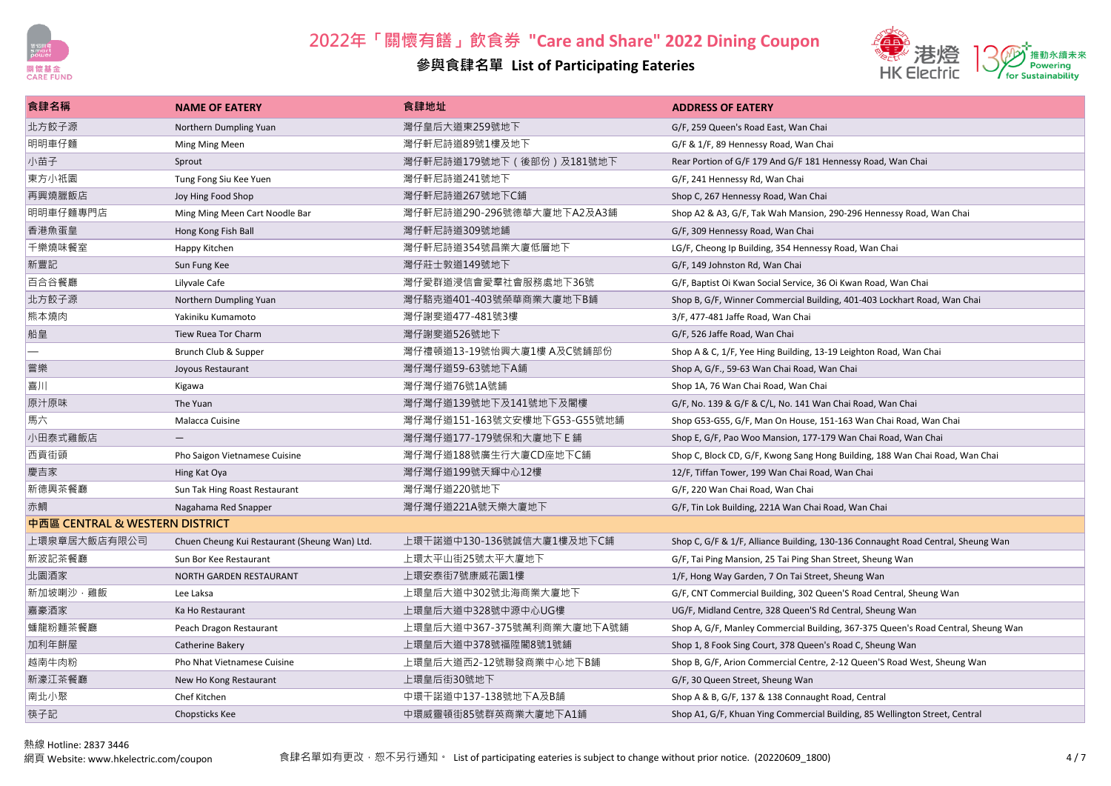

### **參與食肆名單 List of Participating Eateries**



| 食肆名稱                           | <b>NAME OF EATERY</b>                         | 食肆地址                         | <b>ADDRESS OF EATERY</b>                                                          |  |  |
|--------------------------------|-----------------------------------------------|------------------------------|-----------------------------------------------------------------------------------|--|--|
| 北方餃子源                          | Northern Dumpling Yuan                        | 灣仔皇后大道東259號地下                | G/F, 259 Queen's Road East, Wan Chai                                              |  |  |
| 明明車仔麵                          | Ming Ming Meen                                | 灣仔軒尼詩道89號1樓及地下               | G/F & 1/F, 89 Hennessy Road, Wan Chai                                             |  |  |
| 小苗子                            | Sprout                                        | 灣仔軒尼詩道179號地下 (後部份)及181號地下    | Rear Portion of G/F 179 And G/F 181 Hennessy Road, Wan Chai                       |  |  |
| 東方小祇園                          | Tung Fong Siu Kee Yuen                        | 灣仔軒尼詩道241號地下                 | G/F, 241 Hennessy Rd, Wan Chai                                                    |  |  |
| 再興燒臘飯店                         | Joy Hing Food Shop                            | 灣仔軒尼詩道267號地下C鋪               | Shop C, 267 Hennessy Road, Wan Chai                                               |  |  |
| 明明車仔麵專門店                       | Ming Ming Meen Cart Noodle Bar                | 灣仔軒尼詩道290-296號德華大廈地下A2及A3鋪   | Shop A2 & A3, G/F, Tak Wah Mansion, 290-296 Hennessy Road, Wan Chai               |  |  |
| 香港魚蛋皇                          | Hong Kong Fish Ball                           | 灣仔軒尼詩道309號地鋪                 | G/F, 309 Hennessy Road, Wan Chai                                                  |  |  |
| 千樂燒味餐室                         | Happy Kitchen                                 | 灣仔軒尼詩道354號昌業大廈低層地下           | LG/F, Cheong Ip Building, 354 Hennessy Road, Wan Chai                             |  |  |
| 新豐記                            | Sun Fung Kee                                  | 灣仔莊士敦道149號地下                 | G/F, 149 Johnston Rd, Wan Chai                                                    |  |  |
| 百合谷餐廳                          | Lilyvale Cafe                                 | 灣仔愛群道浸信會愛羣社會服務處地下36號         | G/F, Baptist Oi Kwan Social Service, 36 Oi Kwan Road, Wan Chai                    |  |  |
| 北方餃子源                          | Northern Dumpling Yuan                        | 灣仔駱克道401-403號榮華商業大廈地下B鋪      | Shop B, G/F, Winner Commercial Building, 401-403 Lockhart Road, Wan Chai          |  |  |
| 熊本燒肉                           | Yakiniku Kumamoto                             | 灣仔謝斐道477-481號3樓              | 3/F, 477-481 Jaffe Road, Wan Chai                                                 |  |  |
| 船皇                             | Tiew Ruea Tor Charm                           | 灣仔謝斐道526號地下                  | G/F, 526 Jaffe Road, Wan Chai                                                     |  |  |
|                                | Brunch Club & Supper                          | 灣仔禮頓道13-19號怡興大廈1樓 A及C號鋪部份    | Shop A & C, 1/F, Yee Hing Building, 13-19 Leighton Road, Wan Chai                 |  |  |
| 嘗樂                             | Joyous Restaurant                             | 灣仔灣仔道59-63號地下A鋪              | Shop A, G/F., 59-63 Wan Chai Road, Wan Chai                                       |  |  |
| 喜川                             | Kigawa                                        | 灣仔灣仔道76號1A號鋪                 | Shop 1A, 76 Wan Chai Road, Wan Chai                                               |  |  |
| 原汁原味                           | The Yuan                                      | 灣仔灣仔道139號地下及141號地下及閣樓        | G/F, No. 139 & G/F & C/L, No. 141 Wan Chai Road, Wan Chai                         |  |  |
| 馬六                             | Malacca Cuisine                               | 灣仔灣仔道151-163號文安樓地下G53-G55號地鋪 | Shop G53-G55, G/F, Man On House, 151-163 Wan Chai Road, Wan Chai                  |  |  |
| 小田泰式雞飯店                        | $\overline{\phantom{m}}$                      | 灣仔灣仔道177-179號保和大廈地下 E 鋪      | Shop E, G/F, Pao Woo Mansion, 177-179 Wan Chai Road, Wan Chai                     |  |  |
| 西貢街頭                           | Pho Saigon Vietnamese Cuisine                 | 灣仔灣仔道188號廣生行大廈CD座地下C鋪        | Shop C, Block CD, G/F, Kwong Sang Hong Building, 188 Wan Chai Road, Wan Chai      |  |  |
| 慶吉家                            | Hing Kat Oya                                  | 灣仔灣仔道199號天輝中心12樓             | 12/F, Tiffan Tower, 199 Wan Chai Road, Wan Chai                                   |  |  |
| 新德興茶餐廳                         | Sun Tak Hing Roast Restaurant                 | 灣仔灣仔道220號地下                  | G/F, 220 Wan Chai Road, Wan Chai                                                  |  |  |
| 赤鯛                             | Nagahama Red Snapper                          | 灣仔灣仔道221A號天樂大廈地下             | G/F, Tin Lok Building, 221A Wan Chai Road, Wan Chai                               |  |  |
| 中西區 CENTRAL & WESTERN DISTRICT |                                               |                              |                                                                                   |  |  |
| 上環泉章居大飯店有限公司                   | Chuen Cheung Kui Restaurant (Sheung Wan) Ltd. | 上環干諾道中130-136號誠信大廈1樓及地下C鋪    | Shop C, G/F & 1/F, Alliance Building, 130-136 Connaught Road Central, Sheung Wan  |  |  |
| 新波記茶餐廳                         | Sun Bor Kee Restaurant                        | 上環太平山街25號太平大廈地下              | G/F, Tai Ping Mansion, 25 Tai Ping Shan Street, Sheung Wan                        |  |  |
| 北園酒家                           | NORTH GARDEN RESTAURANT                       | 上環安泰街7號康威花園1樓                | 1/F, Hong Way Garden, 7 On Tai Street, Sheung Wan                                 |  |  |
| 新加坡喇沙·雞飯                       | Lee Laksa                                     | 上環皇后大道中302號北海商業大廈地下          | G/F, CNT Commercial Building, 302 Queen'S Road Central, Sheung Wan                |  |  |
| 嘉豪酒家                           | Ka Ho Restaurant                              | 上環皇后大道中328號中源中心UG樓           | UG/F, Midland Centre, 328 Queen'S Rd Central, Sheung Wan                          |  |  |
| 蟠龍粉麵茶餐廳                        | Peach Dragon Restaurant                       | 上環皇后大道中367-375號萬利商業大廈地下A號鋪   | Shop A, G/F, Manley Commercial Building, 367-375 Queen's Road Central, Sheung Wan |  |  |
| 加利年餅屋                          | Catherine Bakery                              | 上環皇后大道中378號福陞閣8號1號鋪          | Shop 1, 8 Fook Sing Court, 378 Queen's Road C, Sheung Wan                         |  |  |
| 越南牛肉粉                          | Pho Nhat Vietnamese Cuisine                   | 上環皇后大道西2-12號聯發商業中心地下B鋪       | Shop B, G/F, Arion Commercial Centre, 2-12 Queen'S Road West, Sheung Wan          |  |  |
| 新濠江茶餐廳                         | New Ho Kong Restaurant                        | 上環皇后街30號地下                   | G/F, 30 Queen Street, Sheung Wan                                                  |  |  |
| 南北小聚                           | Chef Kitchen                                  | 中環干諾道中137-138號地下A及B舗         | Shop A & B, G/F, 137 & 138 Connaught Road, Central                                |  |  |
| 筷子記                            | Chopsticks Kee                                | 中環威靈頓街85號群英商業大廈地下A1鋪         | Shop A1, G/F, Khuan Ying Commercial Building, 85 Wellington Street, Central       |  |  |

熱線 Hotline: 2837 3446<br>網頁 Website: www.hkelectric.com/coupon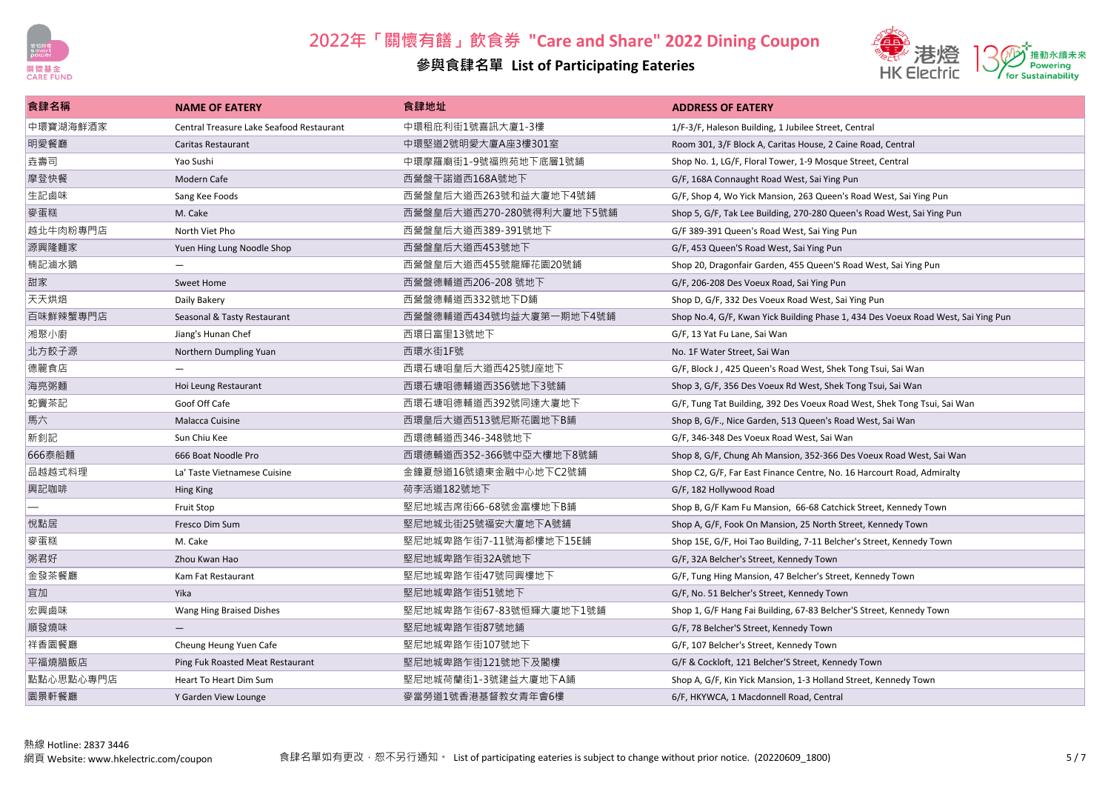



| 食肆名稱      | <b>NAME OF EATERY</b>                    | 食肆地址                      | <b>ADDRESS OF EATERY</b>                                                          |
|-----------|------------------------------------------|---------------------------|-----------------------------------------------------------------------------------|
| 中環寶湖海鮮酒家  | Central Treasure Lake Seafood Restaurant | 中環租庇利街1號喜訊大廈1-3樓          | 1/F-3/F, Haleson Building, 1 Jubilee Street, Central                              |
| 明愛餐廳      | Caritas Restaurant                       | 中環堅道2號明愛大廈A座3樓301室        | Room 301, 3/F Block A, Caritas House, 2 Caine Road, Central                       |
| 垚壽司       | Yao Sushi                                | 中環摩羅廟街1-9號福煦苑地下底層1號鋪      | Shop No. 1, LG/F, Floral Tower, 1-9 Mosque Street, Central                        |
| 摩登快餐      | Modern Cafe                              | 西營盤干諾道西168A號地下            | G/F, 168A Connaught Road West, Sai Ying Pun                                       |
| 生記鹵味      | Sang Kee Foods                           | 西營盤皇后大道西263號和益大廈地下4號鋪.    | G/F, Shop 4, Wo Yick Mansion, 263 Queen's Road West, Sai Ying Pun                 |
| 麥蛋糕       | M. Cake                                  | 西營盤皇后大道西270-280號得利大廈地下5號鋪 | Shop 5, G/F, Tak Lee Building, 270-280 Queen's Road West, Sai Ying Pun            |
| 越北牛肉粉專門店  | North Viet Pho                           | 西營盤皇后大道西389-391號地下        | G/F 389-391 Queen's Road West, Sai Ying Pun                                       |
| 源興隆麵家     | Yuen Hing Lung Noodle Shop               | 西營盤皇后大道西453號地下            | G/F, 453 Queen'S Road West, Sai Ying Pun                                          |
| 楠記滷水鵝     |                                          | 西營盤皇后大道西455號龍輝花園20號鋪      | Shop 20, Dragonfair Garden, 455 Queen'S Road West, Sai Ying Pun                   |
| 甜家        | Sweet Home                               | 西營盤德輔道西206-208 號地下        | G/F, 206-208 Des Voeux Road, Sai Ying Pun                                         |
| 天天烘焙      | Daily Bakery                             | 西營盤德輔道西332號地下D鋪           | Shop D, G/F, 332 Des Voeux Road West, Sai Ying Pun                                |
| 百味鮮辣蟹專門店  | Seasonal & Tasty Restaurant              | 西營盤德輔道西434號均益大廈第一期地下4號鋪   | Shop No.4, G/F, Kwan Yick Building Phase 1, 434 Des Voeux Road West, Sai Ying Pun |
| 湘聚小廚      | Jiang's Hunan Chef                       | 西環日富里13號地下                | G/F, 13 Yat Fu Lane, Sai Wan                                                      |
| 北方餃子源     | Northern Dumpling Yuan                   | 西環水街1F號                   | No. 1F Water Street, Sai Wan                                                      |
| 德麗食店      |                                          | 西環石塘咀皇后大道西425號J座地下        | G/F, Block J, 425 Queen's Road West, Shek Tong Tsui, Sai Wan                      |
| 海亮粥麵      | Hoi Leung Restaurant                     | 西環石塘咀德輔道西356號地下3號鋪        | Shop 3, G/F, 356 Des Voeux Rd West, Shek Tong Tsui, Sai Wan                       |
| 蛇竇茶記      | Goof Off Cafe                            | 西環石塘咀德輔道西392號同達大廈地下       | G/F, Tung Tat Building, 392 Des Voeux Road West, Shek Tong Tsui, Sai Wan          |
| 馬六        | Malacca Cuisine                          | 西環皇后大道西513號尼斯花園地下B鋪       | Shop B, G/F., Nice Garden, 513 Queen's Road West, Sai Wan                         |
| 新釗記       | Sun Chiu Kee                             | 西環德輔道西346-348號地下          | G/F, 346-348 Des Voeux Road West, Sai Wan                                         |
| 666泰船麵    | 666 Boat Noodle Pro                      | 西環德輔道西352-366號中亞大樓地下8號鋪   | Shop 8, G/F, Chung Ah Mansion, 352-366 Des Voeux Road West, Sai Wan               |
| 品越越式料理    | La' Taste Vietnamese Cuisine             | 金鐘夏愨道16號遠東金融中心地下C2號鋪      | Shop C2, G/F, Far East Finance Centre, No. 16 Harcourt Road, Admiralty            |
| 興記咖啡      | Hing King                                | 荷李活道182號地下                | G/F, 182 Hollywood Road                                                           |
|           | <b>Fruit Stop</b>                        | 堅尼地城吉席街66-68號金富樓地下B鋪      | Shop B, G/F Kam Fu Mansion, 66-68 Catchick Street, Kennedy Town                   |
| 悦點居       | Fresco Dim Sum                           | 堅尼地城北街25號福安大廈地下A號鋪        | Shop A, G/F, Fook On Mansion, 25 North Street, Kennedy Town                       |
| 麥蛋糕       | M. Cake                                  | 堅尼地城卑路乍街7-11號海都樓地下15E鋪    | Shop 15E, G/F, Hoi Tao Building, 7-11 Belcher's Street, Kennedy Town              |
| 粥君好       | Zhou Kwan Hao                            | 堅尼地城卑路乍街32A號地下            | G/F, 32A Belcher's Street, Kennedy Town                                           |
| 金發茶餐廳     | Kam Fat Restaurant                       | 堅尼地城卑路乍街47號同興樓地下          | G/F, Tung Hing Mansion, 47 Belcher's Street, Kennedy Town                         |
| 宜加        | Yika                                     | 堅尼地城卑路乍街51號地下             | G/F, No. 51 Belcher's Street, Kennedy Town                                        |
| 宏興鹵味      | Wang Hing Braised Dishes                 | 堅尼地城卑路乍街67-83號恒輝大廈地下1號鋪   | Shop 1, G/F Hang Fai Building, 67-83 Belcher'S Street, Kennedy Town               |
| 順發燒味      |                                          | 堅尼地城卑路乍街87號地鋪             | G/F, 78 Belcher'S Street, Kennedy Town                                            |
| 祥香園餐廳     | Cheung Heung Yuen Cafe                   | 堅尼地城卑路乍街107號地下            | G/F, 107 Belcher's Street, Kennedy Town                                           |
| 平福燒腊飯店    | Ping Fuk Roasted Meat Restaurant         | 堅尼地城卑路乍街121號地下及閣樓         | G/F & Cockloft, 121 Belcher'S Street, Kennedy Town                                |
| 點點心思點心專門店 | Heart To Heart Dim Sum                   | 堅尼地城荷蘭街1-3號建益大廈地下A鋪       | Shop A, G/F, Kin Yick Mansion, 1-3 Holland Street, Kennedy Town                   |
| 園景軒餐廳     | Y Garden View Lounge                     | 麥當勞道1號香港基督教女青年會6樓         | 6/F, HKYWCA, 1 Macdonnell Road, Central                                           |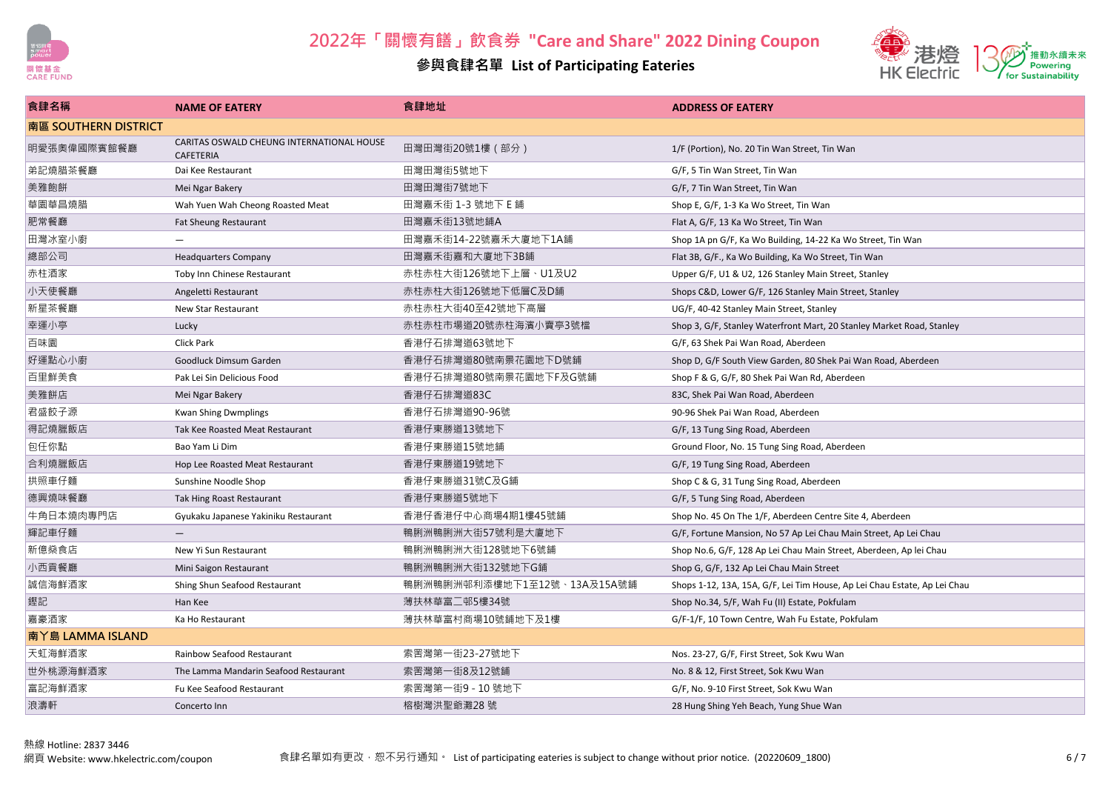



| 食肆名稱                 | <b>NAME OF EATERY</b>                                  | 食肆地址                        | <b>ADDRESS OF EATERY</b>                                                  |
|----------------------|--------------------------------------------------------|-----------------------------|---------------------------------------------------------------------------|
| 南區 SOUTHERN DISTRICT |                                                        |                             |                                                                           |
| 明愛張奧偉國際賓館餐廳          | CARITAS OSWALD CHEUNG INTERNATIONAL HOUSE<br>CAFETERIA | 田灣田灣街20號1樓 (部分)             | 1/F (Portion), No. 20 Tin Wan Street, Tin Wan                             |
| 弟記燒腊茶餐廳              | Dai Kee Restaurant                                     | 田灣田灣街5號地下                   | G/F, 5 Tin Wan Street, Tin Wan                                            |
| 美雅飽餅                 | Mei Ngar Bakery                                        | 田灣田灣街7號地下                   | G/F, 7 Tin Wan Street, Tin Wan                                            |
| 華園華昌燒腊               | Wah Yuen Wah Cheong Roasted Meat                       | 田灣嘉禾街 1-3 號地下 E 鋪           | Shop E, G/F, 1-3 Ka Wo Street, Tin Wan                                    |
| 肥常餐廳                 | <b>Fat Sheung Restaurant</b>                           | 田灣嘉禾街13號地鋪A                 | Flat A, G/F, 13 Ka Wo Street, Tin Wan                                     |
| 田灣冰室小廚               |                                                        | 田灣嘉禾街14-22號嘉禾大廈地下1A鋪        | Shop 1A pn G/F, Ka Wo Building, 14-22 Ka Wo Street, Tin Wan               |
| 總部公司                 | <b>Headquarters Company</b>                            | 田灣嘉禾街嘉和大廈地下3B鋪              | Flat 3B, G/F., Ka Wo Building, Ka Wo Street, Tin Wan                      |
| 赤柱酒家                 | Toby Inn Chinese Restaurant                            | 赤柱赤柱大街126號地下上層、U1及U2        | Upper G/F, U1 & U2, 126 Stanley Main Street, Stanley                      |
| 小天使餐廳                | Angeletti Restaurant                                   | 赤柱赤柱大街126號地下低層C及D鋪          | Shops C&D, Lower G/F, 126 Stanley Main Street, Stanley                    |
| 新星茶餐廳                | New Star Restaurant                                    | 赤柱赤柱大街40至42號地下高層            | UG/F, 40-42 Stanley Main Street, Stanley                                  |
| 幸運小亭                 | Lucky                                                  | 赤柱赤柱市場道20號赤柱海濱小賣亭3號檔        | Shop 3, G/F, Stanley Waterfront Mart, 20 Stanley Market Road, Stanley     |
| 百味園                  | <b>Click Park</b>                                      | 香港仔石排灣道63號地下                | G/F, 63 Shek Pai Wan Road, Aberdeen                                       |
| 好運點心小廚               | Goodluck Dimsum Garden                                 | 香港仔石排灣道80號南景花園地下D號鋪         | Shop D, G/F South View Garden, 80 Shek Pai Wan Road, Aberdeen             |
| 百里鮮美食                | Pak Lei Sin Delicious Food                             | 香港仔石排灣道80號南景花園地下F及G號鋪       | Shop F & G, G/F, 80 Shek Pai Wan Rd, Aberdeen                             |
| 美雅餅店                 | Mei Ngar Bakery                                        | 香港仔石排灣道83C                  | 83C, Shek Pai Wan Road, Aberdeen                                          |
| 君盛餃子源                | <b>Kwan Shing Dwmplings</b>                            | 香港仔石排灣道90-96號               | 90-96 Shek Pai Wan Road, Aberdeen                                         |
| 得記燒臘飯店               | Tak Kee Roasted Meat Restaurant                        | 香港仔東勝道13號地下                 | G/F, 13 Tung Sing Road, Aberdeen                                          |
| 包任你點                 | Bao Yam Li Dim                                         | 香港仔東勝道15號地鋪                 | Ground Floor, No. 15 Tung Sing Road, Aberdeen                             |
| 合利燒臘飯店               | Hop Lee Roasted Meat Restaurant                        | 香港仔東勝道19號地下                 | G/F, 19 Tung Sing Road, Aberdeen                                          |
| 拱照車仔麵                | Sunshine Noodle Shop                                   | 香港仔東勝道31號C及G鋪               | Shop C & G, 31 Tung Sing Road, Aberdeen                                   |
| 德興燒味餐廳               | Tak Hing Roast Restaurant                              | 香港仔東勝道5號地下                  | G/F, 5 Tung Sing Road, Aberdeen                                           |
| 牛角日本燒肉專門店            | Gyukaku Japanese Yakiniku Restaurant                   | 香港仔香港仔中心商場4期1樓45號鋪          | Shop No. 45 On The 1/F, Aberdeen Centre Site 4, Aberdeen                  |
| 輝記車仔麵                | $\overline{\phantom{0}}$                               | 鴨脷洲鴨脷洲大街57號利是大廈地下           | G/F, Fortune Mansion, No 57 Ap Lei Chau Main Street, Ap Lei Chau          |
| 新億燊食店                | New Yi Sun Restaurant                                  | 鴨脷洲鴨脷洲大街128號地下6號鋪           | Shop No.6, G/F, 128 Ap Lei Chau Main Street, Aberdeen, Ap lei Chau        |
| 小西貢餐廳                | Mini Saigon Restaurant                                 | 鴨脷洲鴨脷洲大街132號地下G鋪            | Shop G, G/F, 132 Ap Lei Chau Main Street                                  |
| 誠信海鮮酒家               | Shing Shun Seafood Restaurant                          | 鴨脷洲鴨脷洲邨利添樓地下1至12號、13A及15A號鋪 | Shops 1-12, 13A, 15A, G/F, Lei Tim House, Ap Lei Chau Estate, Ap Lei Chau |
| 鏗記                   | Han Kee                                                | 薄扶林華富二邨5樓34號                | Shop No.34, 5/F, Wah Fu (II) Estate, Pokfulam                             |
| 嘉豪酒家                 | Ka Ho Restaurant                                       | 薄扶林華富村商場10號鋪地下及1樓           | G/F-1/F, 10 Town Centre, Wah Fu Estate, Pokfulam                          |
| 南丫島 LAMMA ISLAND     |                                                        |                             |                                                                           |
| 天虹海鮮酒家               | <b>Rainbow Seafood Restaurant</b>                      | 索罟灣第一街23-27號地下              | Nos. 23-27, G/F, First Street, Sok Kwu Wan                                |
| 世外桃源海鮮酒家             | The Lamma Mandarin Seafood Restaurant                  | 索罟灣第一街8及12號鋪                | No. 8 & 12, First Street, Sok Kwu Wan                                     |
| 富記海鮮酒家               | Fu Kee Seafood Restaurant                              | 索罟灣第一街9 - 10 號地下            | G/F, No. 9-10 First Street, Sok Kwu Wan                                   |
| 浪濤軒                  | Concerto Inn                                           | 榕樹灣洪聖爺灘28號                  | 28 Hung Shing Yeh Beach, Yung Shue Wan                                    |
|                      |                                                        |                             |                                                                           |